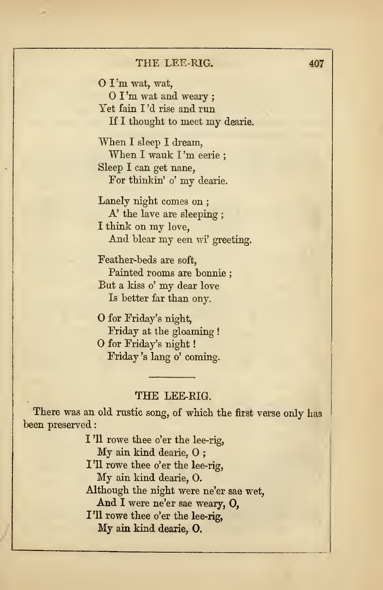## THE LEE-EIG.

There was an old rustic song, of which the first verse only has been preserved

> I '11 rowe thee o'er the lee-rig, My ain kind dearie, O ; I'll rowe thee o'er the lee-rig, My ain kind dearie, 0. Although the night were ne'er sae wet, And <sup>I</sup> were ne'er sae weary, 0, I'll rowe thee o'er the lee-rig, My ain kind dearie, 0.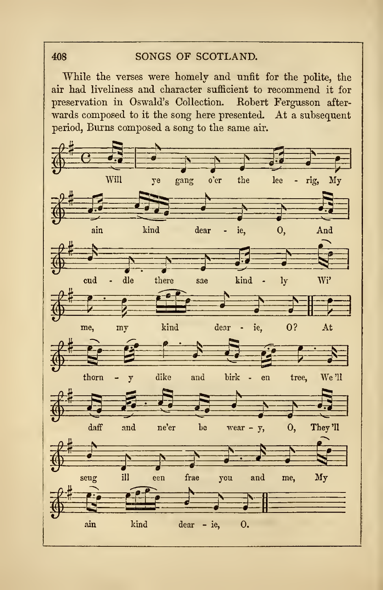## SONGS OF SCOTLAND.

While the verses were homely and unfit for the polite, the air had liveliness and character sufficient to recommend it for preservation in Oswald's Collection. Robert Fergusson afterwards composed to it the song here presented. At a subsequent period, Burns composed a song to the same air.